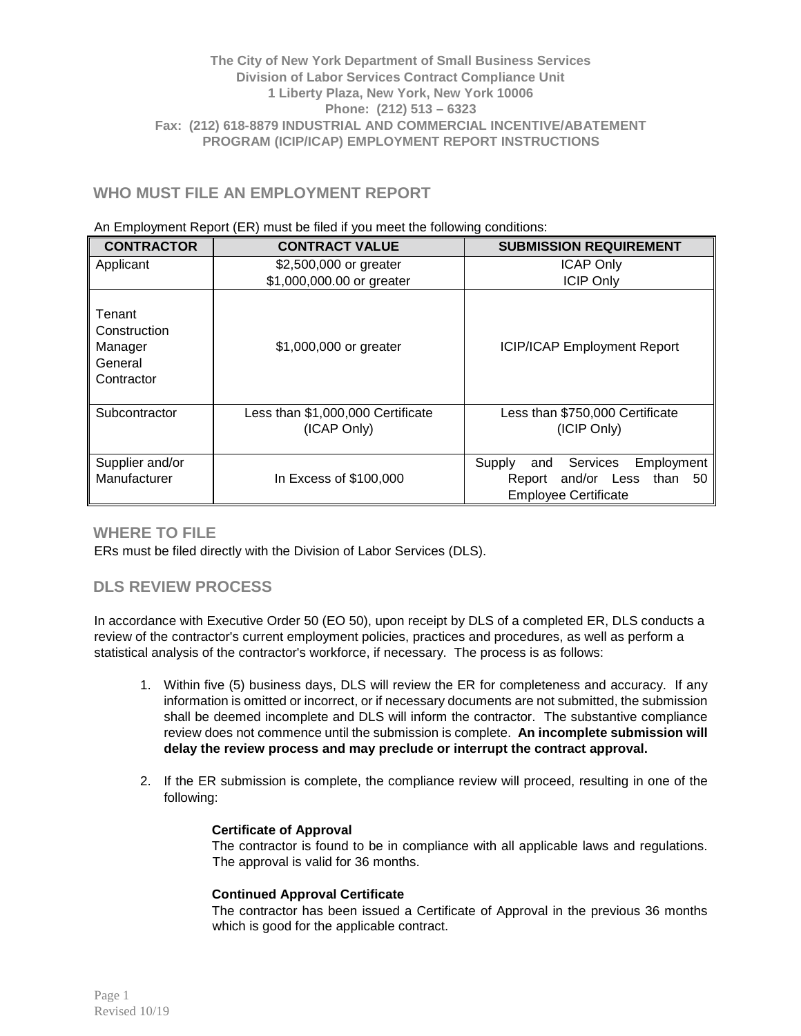### **The City of New York Department of Small Business Services Division of Labor Services Contract Compliance Unit 1 Liberty Plaza, New York, New York 10006 Phone: (212) 513 – 6323 Fax: (212) 618-8879 INDUSTRIAL AND COMMERCIAL INCENTIVE/ABATEMENT PROGRAM (ICIP/ICAP) EMPLOYMENT REPORT INSTRUCTIONS**

# **WHO MUST FILE AN EMPLOYMENT REPORT**

#### An Employment Report (ER) must be filed if you meet the following conditions:

| <b>CONTRACTOR</b>                                          | <b>CONTRACT VALUE</b>                            | <b>SUBMISSION REQUIREMENT</b>                                                                                 |  |
|------------------------------------------------------------|--------------------------------------------------|---------------------------------------------------------------------------------------------------------------|--|
| Applicant                                                  | \$2,500,000 or greater                           | <b>ICAP Only</b>                                                                                              |  |
|                                                            | \$1,000,000.00 or greater                        | <b>ICIP Only</b>                                                                                              |  |
| Tenant<br>Construction<br>Manager<br>General<br>Contractor | \$1,000,000 or greater                           | <b>ICIP/ICAP Employment Report</b>                                                                            |  |
| Subcontractor                                              | Less than \$1,000,000 Certificate<br>(ICAP Only) | Less than \$750,000 Certificate<br>(ICIP Only)                                                                |  |
| Supplier and/or<br>Manufacturer                            | In Excess of \$100,000                           | Employment<br>Supply<br>Services<br>and<br>and/or Less<br>50<br>than<br>Report<br><b>Employee Certificate</b> |  |

## **WHERE TO FILE**

ERs must be filed directly with the Division of Labor Services (DLS).

## **DLS REVIEW PROCESS**

In accordance with Executive Order 50 (EO 50), upon receipt by DLS of a completed ER, DLS conducts a review of the contractor's current employment policies, practices and procedures, as well as perform a statistical analysis of the contractor's workforce, if necessary. The process is as follows:

- 1. Within five (5) business days, DLS will review the ER for completeness and accuracy. If any information is omitted or incorrect, or if necessary documents are not submitted, the submission shall be deemed incomplete and DLS will inform the contractor. The substantive compliance review does not commence until the submission is complete. **An incomplete submission will delay the review process and may preclude or interrupt the contract approval.**
- 2. If the ER submission is complete, the compliance review will proceed, resulting in one of the following:

### **Certificate of Approval**

The contractor is found to be in compliance with all applicable laws and regulations. The approval is valid for 36 months.

### **Continued Approval Certificate**

The contractor has been issued a Certificate of Approval in the previous 36 months which is good for the applicable contract.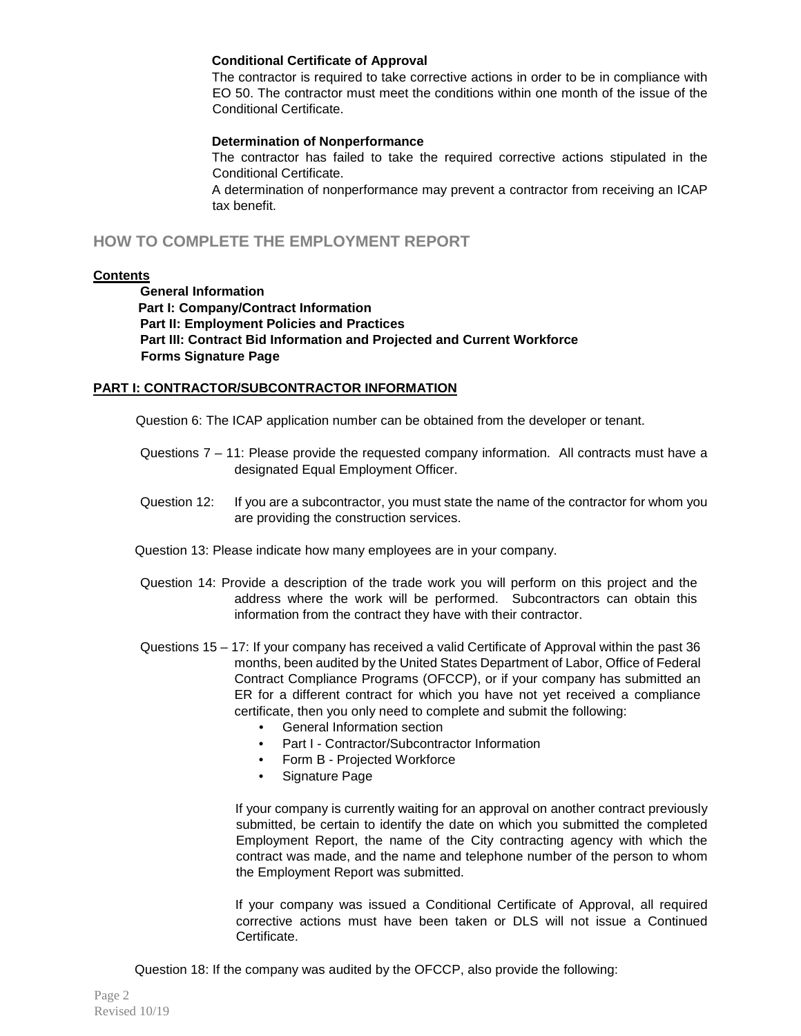#### **Conditional Certificate of Approval**

The contractor is required to take corrective actions in order to be in compliance with EO 50. The contractor must meet the conditions within one month of the issue of the Conditional Certificate.

#### **Determination of Nonperformance**

The contractor has failed to take the required corrective actions stipulated in the Conditional Certificate.

A determination of nonperformance may prevent a contractor from receiving an ICAP tax benefit.

## **HOW TO COMPLETE THE EMPLOYMENT REPORT**

#### **Contents**

**General Information Part I: Company/Contract Information Part II: Employment Policies and Practices Part III: Contract Bid Information and Projected and Current Workforce Forms Signature Page**

#### **PART I: CONTRACTOR/SUBCONTRACTOR INFORMATION**

Question 6: The ICAP application number can be obtained from the developer or tenant.

- Questions 7 11: Please provide the requested company information. All contracts must have a designated Equal Employment Officer.
- Question 12: If you are a subcontractor, you must state the name of the contractor for whom you are providing the construction services.
- Question 13: Please indicate how many employees are in your company.
- Question 14: Provide a description of the trade work you will perform on this project and the address where the work will be performed. Subcontractors can obtain this information from the contract they have with their contractor.
- Questions 15 17: If your company has received a valid Certificate of Approval within the past 36 months, been audited by the United States Department of Labor, Office of Federal Contract Compliance Programs (OFCCP), or if your company has submitted an ER for a different contract for which you have not yet received a compliance certificate, then you only need to complete and submit the following:
	- General Information section
	- Part I Contractor/Subcontractor Information
	- Form B Projected Workforce
	- Signature Page

If your company is currently waiting for an approval on another contract previously submitted, be certain to identify the date on which you submitted the completed Employment Report, the name of the City contracting agency with which the contract was made, and the name and telephone number of the person to whom the Employment Report was submitted.

If your company was issued a Conditional Certificate of Approval, all required corrective actions must have been taken or DLS will not issue a Continued Certificate.

Question 18: If the company was audited by the OFCCP, also provide the following: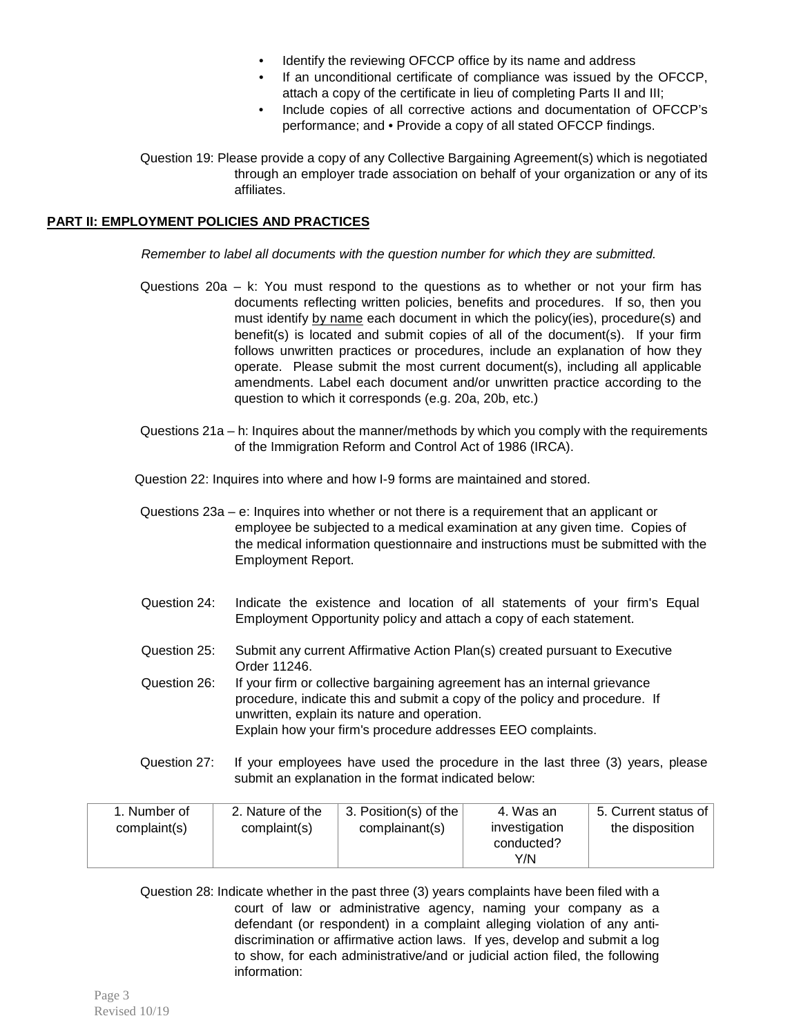- Identify the reviewing OFCCP office by its name and address
- If an unconditional certificate of compliance was issued by the OFCCP, attach a copy of the certificate in lieu of completing Parts II and III;
- Include copies of all corrective actions and documentation of OFCCP's performance; and • Provide a copy of all stated OFCCP findings.

Question 19: Please provide a copy of any Collective Bargaining Agreement(s) which is negotiated through an employer trade association on behalf of your organization or any of its affiliates.

### **PART II: EMPLOYMENT POLICIES AND PRACTICES**

*Remember to label all documents with the question number for which they are submitted.* 

- Questions 20a k: You must respond to the questions as to whether or not your firm has documents reflecting written policies, benefits and procedures. If so, then you must identify by name each document in which the policy(ies), procedure(s) and benefit(s) is located and submit copies of all of the document(s). If your firm follows unwritten practices or procedures, include an explanation of how they operate. Please submit the most current document(s), including all applicable amendments. Label each document and/or unwritten practice according to the question to which it corresponds (e.g. 20a, 20b, etc.)
- Questions 21a h: Inquires about the manner/methods by which you comply with the requirements of the Immigration Reform and Control Act of 1986 (IRCA).

Question 22: Inquires into where and how I-9 forms are maintained and stored.

Questions 23a – e: Inquires into whether or not there is a requirement that an applicant or employee be subjected to a medical examination at any given time. Copies of the medical information questionnaire and instructions must be submitted with the Employment Report.

- Question 24: Indicate the existence and location of all statements of your firm's Equal Employment Opportunity policy and attach a copy of each statement.
- Question 25: Submit any current Affirmative Action Plan(s) created pursuant to Executive Order 11246.

Question 26: If your firm or collective bargaining agreement has an internal grievance procedure, indicate this and submit a copy of the policy and procedure. If unwritten, explain its nature and operation. Explain how your firm's procedure addresses EEO complaints.

Question 27: If your employees have used the procedure in the last three (3) years, please submit an explanation in the format indicated below:

| 1. Number of | 2. Nature of the | 3. Position(s) of the | 4. Was an                          | 5. Current status of |
|--------------|------------------|-----------------------|------------------------------------|----------------------|
| complaint(s) | complaint(s)     | complainant(s)        | investigation<br>conducted?<br>Y/N | the disposition      |

Question 28: Indicate whether in the past three (3) years complaints have been filed with a court of law or administrative agency, naming your company as a defendant (or respondent) in a complaint alleging violation of any antidiscrimination or affirmative action laws. If yes, develop and submit a log to show, for each administrative/and or judicial action filed, the following information: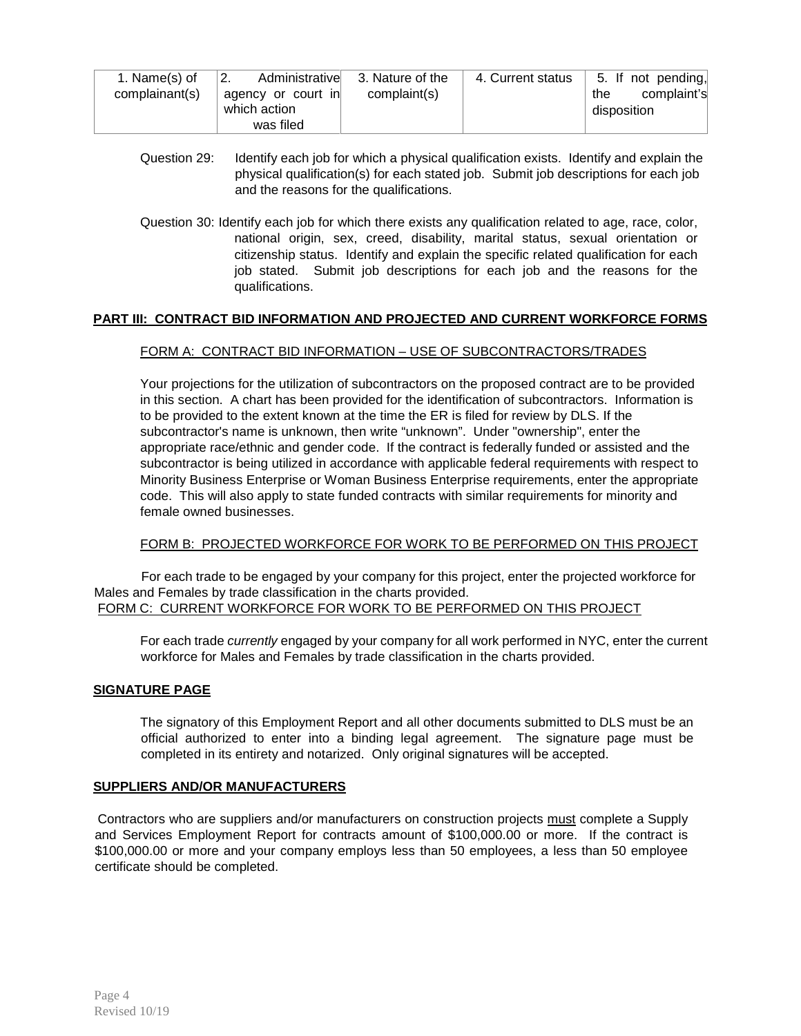| 1. Name(s) of  | Administrative<br>$^{\circ}2.$ | 3. Nature of the | 4. Current status | 5. If not pending, |
|----------------|--------------------------------|------------------|-------------------|--------------------|
| complainant(s) | agency or court in             | complaint(s)     |                   | complaint's<br>the |
|                | which action                   |                  |                   | disposition        |
|                | was filed                      |                  |                   |                    |

- Question 29: Identify each job for which a physical qualification exists. Identify and explain the physical qualification(s) for each stated job. Submit job descriptions for each job and the reasons for the qualifications.
- Question 30: Identify each job for which there exists any qualification related to age, race, color, national origin, sex, creed, disability, marital status, sexual orientation or citizenship status. Identify and explain the specific related qualification for each job stated. Submit job descriptions for each job and the reasons for the qualifications.

### **PART III: CONTRACT BID INFORMATION AND PROJECTED AND CURRENT WORKFORCE FORMS**

### FORM A: CONTRACT BID INFORMATION – USE OF SUBCONTRACTORS/TRADES

Your projections for the utilization of subcontractors on the proposed contract are to be provided in this section. A chart has been provided for the identification of subcontractors. Information is to be provided to the extent known at the time the ER is filed for review by DLS. If the subcontractor's name is unknown, then write "unknown". Under "ownership", enter the appropriate race/ethnic and gender code. If the contract is federally funded or assisted and the subcontractor is being utilized in accordance with applicable federal requirements with respect to Minority Business Enterprise or Woman Business Enterprise requirements, enter the appropriate code. This will also apply to state funded contracts with similar requirements for minority and female owned businesses.

### FORM B: PROJECTED WORKFORCE FOR WORK TO BE PERFORMED ON THIS PROJECT

For each trade to be engaged by your company for this project, enter the projected workforce for Males and Females by trade classification in the charts provided. FORM C: CURRENT WORKFORCE FOR WORK TO BE PERFORMED ON THIS PROJECT

For each trade *currently* engaged by your company for all work performed in NYC, enter the current workforce for Males and Females by trade classification in the charts provided.

### **SIGNATURE PAGE**

The signatory of this Employment Report and all other documents submitted to DLS must be an official authorized to enter into a binding legal agreement. The signature page must be completed in its entirety and notarized. Only original signatures will be accepted.

#### **SUPPLIERS AND/OR MANUFACTURERS**

Contractors who are suppliers and/or manufacturers on construction projects must complete a Supply and Services Employment Report for contracts amount of \$100,000.00 or more. If the contract is \$100,000.00 or more and your company employs less than 50 employees, a less than 50 employee certificate should be completed.